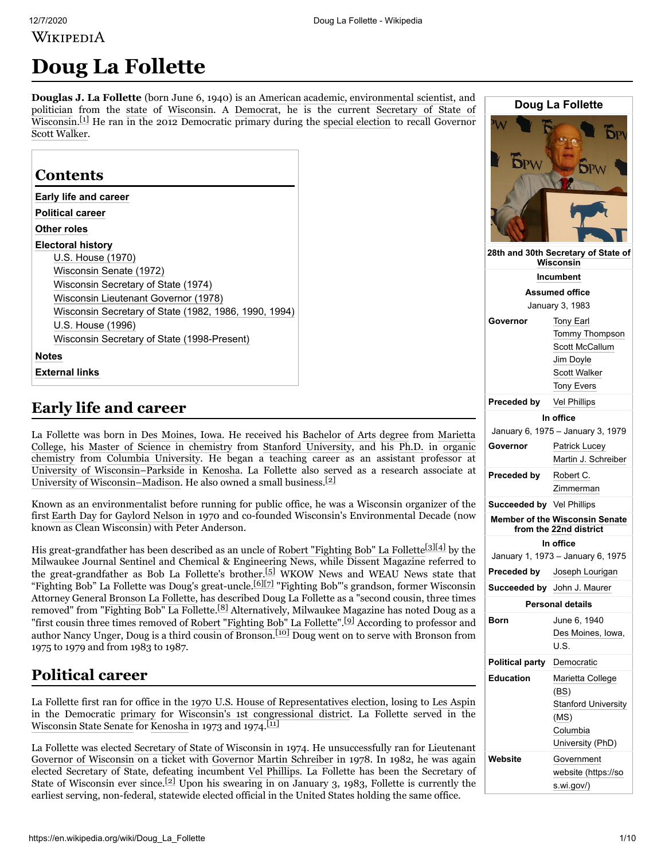WIKIPEDIA

# **Doug La Follette**

**Douglas J. La Follette** (born June 6, 1940) is an [American](https://en.wikipedia.org/wiki/Americans) [academic,](https://en.wikipedia.org/wiki/Academic) [environmental scientist,](https://en.wikipedia.org/wiki/Environmentalism) and [politician](https://en.wikipedia.org/wiki/Politics_of_the_United_States) from the [state](https://en.wikipedia.org/wiki/U.S._state) [of W](https://en.wikipedia.org/wiki/Secretary_of_State_of_Wisconsin)[isconsin](https://en.wikipedia.org/wiki/Wisconsin)[. A D](https://en.wikipedia.org/wiki/Secretary_of_State_of_Wisconsin)[emocrat](https://en.wikipedia.org/wiki/Democratic_Party_(United_States))[, he is the current Secretary of State of](https://en.wikipedia.org/wiki/Secretary_of_State_of_Wisconsin) Wisconsin.<sup>[\[1\]](#page-7-0)</sup> He ran in the 2012 Democratic primary during the [special election](https://en.wikipedia.org/wiki/Wisconsin_gubernatorial_recall_election) to recall Governor [Scott Walker.](https://en.wikipedia.org/wiki/Scott_Walker_(politician))

| Early life and career                                 |
|-------------------------------------------------------|
| <b>Political career</b>                               |
| Other roles                                           |
| <b>Electoral history</b>                              |
| U.S. House (1970)                                     |
| Wisconsin Senate (1972)                               |
| Wisconsin Secretary of State (1974)                   |
| Wisconsin Lieutenant Governor (1978)                  |
| Wisconsin Secretary of State (1982, 1986, 1990, 1994) |
| U.S. House (1996)                                     |
| Wisconsin Secretary of State (1998-Present)           |

# <span id="page-0-0"></span>**Early life and career**

[La Follette was born in](https://en.wikipedia.org/wiki/Marietta_College) [Des Moines, Iowa](https://en.wikipedia.org/wiki/Des_Moines,_Iowa)[. He received his B](https://en.wikipedia.org/wiki/Marietta_College)[achelor of Arts](https://en.wikipedia.org/wiki/Bachelor_of_Arts) [degree](https://en.wikipedia.org/wiki/Academic_degree) from Marietta College, his [Master of Science](https://en.wikipedia.org/wiki/Master_of_Science) in [chemistry](https://en.wikipedia.org/wiki/Chemistry) from [Stanford University](https://en.wikipedia.org/wiki/Stanford_University), and his [Ph.D.](https://en.wikipedia.org/wiki/Doctor_of_Philosophy) in organic chemistry [from Columbia University. He began a teaching career as an assistant professor at](https://en.wikipedia.org/wiki/Organic_chemistry) [University of Wisconsin–Parkside](https://en.wikipedia.org/wiki/University_of_Wisconsin%E2%80%93Parkside) in [Kenosha](https://en.wikipedia.org/wiki/Kenosha,_Wisconsin). La Follette also served as a research associate at [University of Wisconsin–Madison](https://en.wikipedia.org/wiki/University_of_Wisconsin%E2%80%93Madison). He also owned a small business.[\[2\]](#page-7-2)

Known as an environmentalist before running for public office, he was a Wisconsin organizer of the first [Earth Day](https://en.wikipedia.org/wiki/Earth_Day) for [Gaylord Nelson](https://en.wikipedia.org/wiki/Gaylord_Nelson) in 1970 and co-founded Wisconsin's Environmental Decade (now known as Clean Wisconsin) with Peter Anderson.

His great-grandfather has been described as an uncle of [Robert "Fighting Bob" La Follette](https://en.wikipedia.org/wiki/Robert_M._La_Follette)<sup>[\[3\]](#page-7-3)[\[4\]](#page-7-4)</sup> by the Milwaukee Journal Sentinel and Chemical & Engineering News, while Dissent Magazine referred to the great-grandfather as Bob La Follette's brother.[\[5\]](#page-7-5) WKOW News and WEAU News state that "Fighting Bob" La Follette was Doug's great-uncle.<sup>[\[6\]](#page-7-6)[\[7\]](#page-7-7)</sup> "Fighting Bob"'s grandson, former Wisconsin Attorney General [Bronson La Follette](https://en.wikipedia.org/wiki/Bronson_La_Follette), has described Doug La Follette as a "second cousin, three times removed" from "Fighting Bob" La Follette.[\[8\]](#page-7-8) Alternatively, Milwaukee Magazine has noted Doug as a "first cousin three times removed of [Robert "Fighting Bob" La Follette](https://en.wikipedia.org/wiki/Robert_M._La_Follette)".<sup>[\[9\]](#page-7-9)</sup> According to professor and author Nancy Unger, Doug is a third cousin of Bronson.[\[10\]](#page-8-1) Doug went on to serve with Bronson from 1975 to 1979 and from 1983 to 1987.

# <span id="page-0-1"></span>**Political career**

La Follette first ran for office in the 1970 U.S. [House of Representatives election,](https://en.wikipedia.org/wiki/United_States_House_of_Representatives_elections,_1970) losing to [Les Aspin](https://en.wikipedia.org/wiki/Les_Aspin) in the Democratic [primary](https://en.wikipedia.org/wiki/Primary_election) for [Wisconsin's 1st congressional district.](https://en.wikipedia.org/wiki/Wisconsin%27s_1st_congressional_district) La Follette served in the [Wisconsin State Senate](https://en.wikipedia.org/wiki/Wisconsin_State_Senate) for [Kenosha](https://en.wikipedia.org/wiki/Kenosha,_Wisconsin) in 1973 and 1974.<sup>[\[11\]](#page-8-2)</sup>

[La Follette was elected S](https://en.wikipedia.org/wiki/Lieutenant_Governor_of_Wisconsin)[ecretary of State of Wisconsi](https://en.wikipedia.org/wiki/Secretary_of_State_of_Wisconsin)[n](https://en.wikipedia.org/wiki/Lieutenant_Governor_of_Wisconsin) in 1974. He unsuccessfully ran for Lieutenant Governor of Wisconsin on a ticket with [Governor](https://en.wikipedia.org/wiki/Governor_of_Wisconsin) [Martin Schreiber](https://en.wikipedia.org/wiki/Martin_J._Schreiber) in 1978. In 1982, he was again elected Secretary of State, defeating incumbent [Vel Phillips](https://en.wikipedia.org/wiki/Vel_Phillips). La Follette has been the Secretary of State of Wisconsin ever since.<sup>[\[2\]](#page-7-2)</sup> Upon his swearing in on January 3, 1983, Follette is currently the earliest serving, non-federal, statewide elected official in the United States holding the same office.

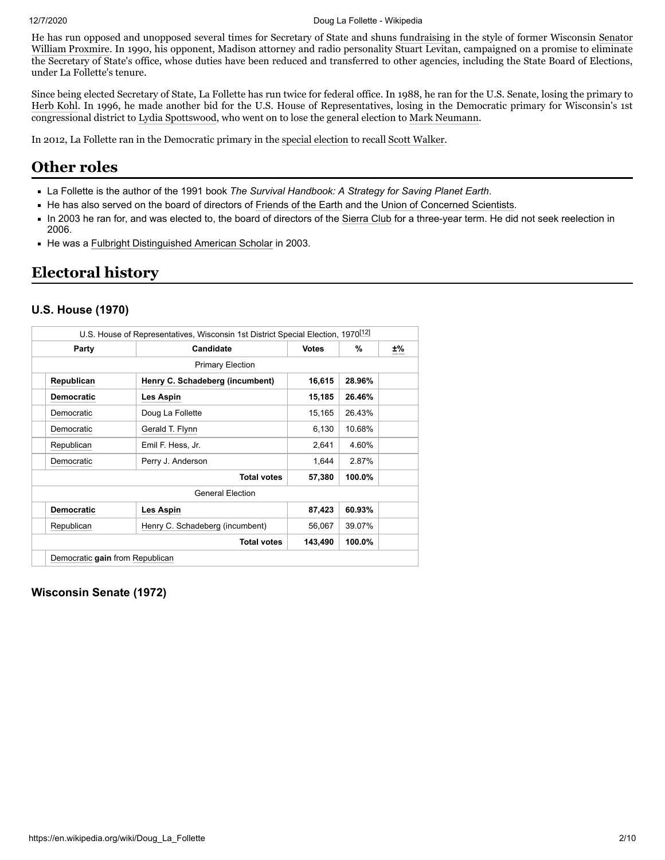He has run opposed and unopposed several times for Secretary of State and shuns [fundraising](https://en.wikipedia.org/wiki/Campaign_finance) in the style of former Wisconsin [Senator](https://en.wikipedia.org/wiki/United_States_Senate) [William Proxmire.](https://en.wikipedia.org/wiki/William_Proxmire) In 1990, his opponent, Madison attorney and radio personality Stuart Levitan, campaigned on a promise to eliminate the Secretary of State's office, whose duties have been reduced and transferred to other agencies, including the State Board of Elections, under La Follette's tenure.

Since being elected Secretary of State, La Follette has run twice for federal office. In 1988, he ran for the U.S. Senate, losing the primary to [Herb Kohl.](https://en.wikipedia.org/wiki/Herb_Kohl) In 1996, he made another bid for the U.S. House of Representatives, losing in the Democratic primary for Wisconsin's 1st congressional district to [Lydia Spottswood](https://en.wikipedia.org/wiki/Lydia_Spottswood), who went on to lose the general election to [Mark Neumann](https://en.wikipedia.org/wiki/Mark_Neumann).

In 2012, La Follette ran in the Democratic primary in the [special election](https://en.wikipedia.org/wiki/Wisconsin_gubernatorial_recall_election) to recall [Scott Walker.](https://en.wikipedia.org/wiki/Scott_Walker_(politician))

## <span id="page-1-0"></span>**Other roles**

- La Follette is the author of the 1991 book *The Survival Handbook: A Strategy for Saving Planet Earth*.
- He has also served on the board of directors of [Friends of the Earth](https://en.wikipedia.org/wiki/Friends_of_the_Earth) and the [Union of Concerned Scientists](https://en.wikipedia.org/wiki/Union_of_Concerned_Scientists).
- In 2003 he ran for, and was elected to, the board of directors of the [Sierra Club](https://en.wikipedia.org/wiki/Sierra_Club) for a three-year term. He did not seek reelection in 2006.
- He was a [Fulbright Distinguished American Scholar](https://en.wikipedia.org/wiki/Fulbright_Program) in 2003.

# <span id="page-1-1"></span>**Electoral history**

#### <span id="page-1-2"></span>**U.S. House (1970)**

| U.S. House of Representatives, Wisconsin 1st District Special Election, 1970 <sup>[12]</sup> |                                 |              |        |    |
|----------------------------------------------------------------------------------------------|---------------------------------|--------------|--------|----|
| Party                                                                                        | Candidate                       | <b>Votes</b> | %      | ±% |
|                                                                                              | <b>Primary Election</b>         |              |        |    |
| Republican                                                                                   | Henry C. Schadeberg (incumbent) | 16,615       | 28.96% |    |
| <b>Democratic</b>                                                                            | Les Aspin                       | 15,185       | 26.46% |    |
| Democratic                                                                                   | Doug La Follette                | 15,165       | 26.43% |    |
| Democratic                                                                                   | Gerald T. Flynn                 | 6,130        | 10.68% |    |
| Republican                                                                                   | Emil F. Hess, Jr.               | 2,641        | 4.60%  |    |
| Democratic                                                                                   | Perry J. Anderson               | 1,644        | 2.87%  |    |
|                                                                                              | <b>Total votes</b>              |              |        |    |
|                                                                                              | <b>General Election</b>         |              |        |    |
| <b>Democratic</b>                                                                            | Les Aspin                       | 87,423       | 60.93% |    |
| Republican                                                                                   | Henry C. Schadeberg (incumbent) | 56,067       | 39.07% |    |
|                                                                                              | <b>Total votes</b>              | 143,490      | 100.0% |    |
| Democratic gain from Republican                                                              |                                 |              |        |    |

<span id="page-1-3"></span>**Wisconsin Senate (1972)**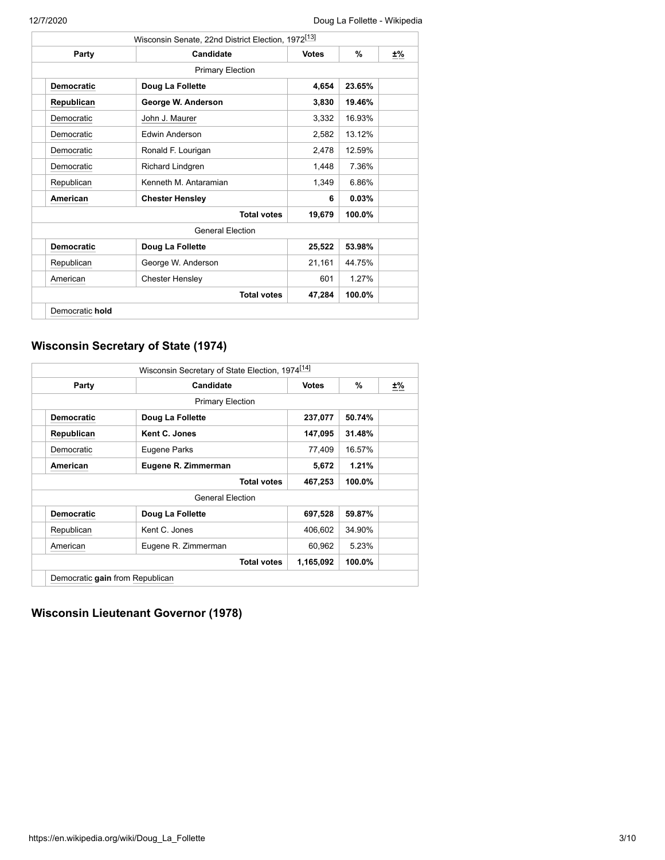|                   | Wisconsin Senate, 22nd District Election, 1972 <sup>[13]</sup> |              |           |    |
|-------------------|----------------------------------------------------------------|--------------|-----------|----|
| Party             | Candidate                                                      | <b>Votes</b> | %         | ±% |
|                   | <b>Primary Election</b>                                        |              |           |    |
| <b>Democratic</b> | Doug La Follette                                               | 4,654        | 23.65%    |    |
| Republican        | George W. Anderson                                             | 3,830        | 19.46%    |    |
| Democratic        | John J. Maurer                                                 | 3,332        | 16.93%    |    |
| Democratic        | <b>Edwin Anderson</b>                                          | 2,582        | 13.12%    |    |
| Democratic        | Ronald F. Lourigan                                             | 2,478        | 12.59%    |    |
| Democratic        | Richard Lindgren                                               | 1,448        | 7.36%     |    |
| Republican        | Kenneth M. Antaramian                                          | 1,349        | 6.86%     |    |
| American          | <b>Chester Hensley</b>                                         | 6            | 0.03%     |    |
|                   | <b>Total votes</b>                                             | 19,679       | 100.0%    |    |
|                   | <b>General Flection</b>                                        |              |           |    |
| <b>Democratic</b> | Doug La Follette                                               | 25,522       | 53.98%    |    |
| Republican        | George W. Anderson                                             | 21,161       | 44.75%    |    |
| American          | <b>Chester Hensley</b>                                         | 601          | 1.27%     |    |
|                   | <b>Total votes</b>                                             | 47,284       | $100.0\%$ |    |
| Democratic hold   |                                                                |              |           |    |

### <span id="page-2-0"></span>**Wisconsin Secretary of State (1974)**

|                                 | Wisconsin Secretary of State Election, 1974 <sup>[14]</sup> |              |        |    |
|---------------------------------|-------------------------------------------------------------|--------------|--------|----|
| Party                           | Candidate                                                   | <b>Votes</b> | %      | ±% |
|                                 | <b>Primary Election</b>                                     |              |        |    |
| <b>Democratic</b>               | Doug La Follette                                            | 237,077      | 50.74% |    |
| Republican                      | Kent C. Jones                                               | 147,095      | 31.48% |    |
| Democratic                      | Eugene Parks                                                | 77,409       | 16.57% |    |
| American                        | Eugene R. Zimmerman                                         | 5,672        | 1.21%  |    |
|                                 | <b>Total votes</b>                                          | 467,253      | 100.0% |    |
|                                 | <b>General Election</b>                                     |              |        |    |
| <b>Democratic</b>               | Doug La Follette                                            | 697,528      | 59.87% |    |
| Republican                      | Kent C. Jones                                               | 406,602      | 34.90% |    |
| American                        | Eugene R. Zimmerman                                         | 60,962       | 5.23%  |    |
|                                 | <b>Total votes</b>                                          | 1,165,092    | 100.0% |    |
| Democratic gain from Republican |                                                             |              |        |    |

### <span id="page-2-1"></span>**Wisconsin Lieutenant Governor (1978)**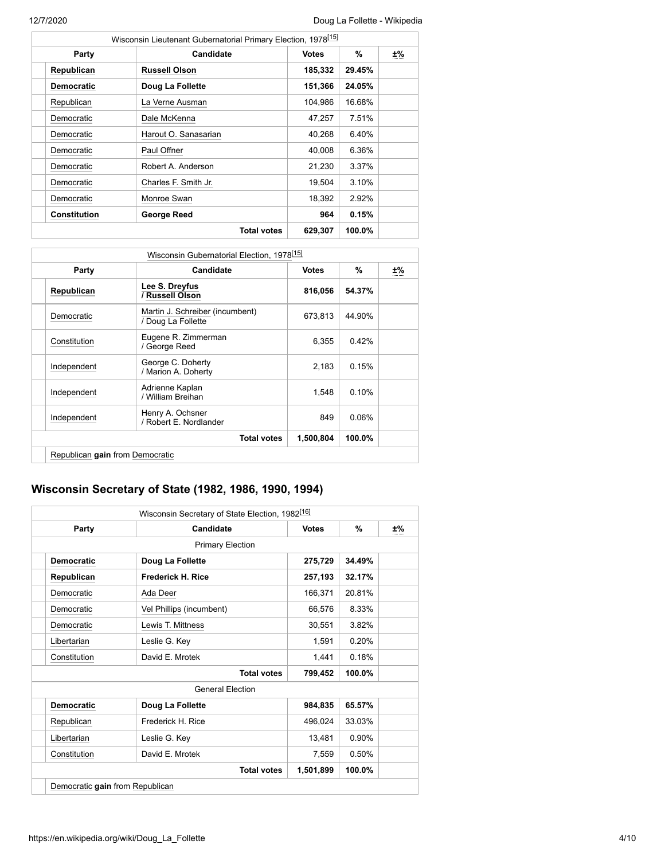| Wisconsin Lieutenant Gubernatorial Primary Election, 1978 <sup>[15]</sup> |                      |              |        |    |  |
|---------------------------------------------------------------------------|----------------------|--------------|--------|----|--|
| Party                                                                     | Candidate            | <b>Votes</b> | %      | ±% |  |
| Republican                                                                | <b>Russell Olson</b> | 185,332      | 29.45% |    |  |
| <b>Democratic</b>                                                         | Doug La Follette     | 151,366      | 24.05% |    |  |
| Republican                                                                | La Verne Ausman      | 104,986      | 16.68% |    |  |
| Democratic                                                                | Dale McKenna         | 47,257       | 7.51%  |    |  |
| Democratic                                                                | Harout O. Sanasarian | 40,268       | 6.40%  |    |  |
| Democratic                                                                | Paul Offner          | 40,008       | 6.36%  |    |  |
| Democratic                                                                | Robert A. Anderson   | 21,230       | 3.37%  |    |  |
| Democratic                                                                | Charles F. Smith Jr. | 19,504       | 3.10%  |    |  |
| Democratic                                                                | Monroe Swan          | 18,392       | 2.92%  |    |  |
| <b>Constitution</b>                                                       | George Reed          | 964          | 0.15%  |    |  |
|                                                                           | <b>Total votes</b>   | 629,307      | 100.0% |    |  |

|                                 | Wisconsin Gubernatorial Election, 1978 <sup>[15]</sup> |              |          |    |  |  |
|---------------------------------|--------------------------------------------------------|--------------|----------|----|--|--|
| Party                           | Candidate                                              | <b>Votes</b> | %        | ±% |  |  |
| Republican                      | Lee S. Dreyfus<br>/ Russell Olson                      | 816,056      | 54.37%   |    |  |  |
| Democratic                      | Martin J. Schreiber (incumbent)<br>/ Doug La Follette  | 673,813      | 44.90%   |    |  |  |
| Constitution                    | Eugene R. Zimmerman<br>/ George Reed                   | 6,355        | 0.42%    |    |  |  |
| Independent                     | George C. Doherty<br>/ Marion A. Doherty               | 2,183        | 0.15%    |    |  |  |
| Independent                     | Adrienne Kaplan<br>/ William Breihan                   | 1,548        | 0.10%    |    |  |  |
| Independent                     | Henry A. Ochsner<br>/ Robert E. Nordlander             | 849          | $0.06\%$ |    |  |  |
|                                 | <b>Total votes</b>                                     | 1,500,804    | 100.0%   |    |  |  |
| Republican gain from Democratic |                                                        |              |          |    |  |  |

### <span id="page-3-0"></span>**Wisconsin Secretary of State (1982, 1986, 1990, 1994)**

| Party             | Candidate                | <b>Votes</b> | %        | ±% |
|-------------------|--------------------------|--------------|----------|----|
|                   | <b>Primary Election</b>  |              |          |    |
| <b>Democratic</b> | Doug La Follette         | 275,729      | 34.49%   |    |
| Republican        | <b>Frederick H. Rice</b> | 257,193      | 32.17%   |    |
| Democratic        | Ada Deer                 | 166,371      | 20.81%   |    |
| Democratic        | Vel Phillips (incumbent) | 66,576       | 8.33%    |    |
| Democratic        | Lewis T. Mittness        | 30,551       | 3.82%    |    |
| Libertarian       | Leslie G. Key            | 1,591        | 0.20%    |    |
| Constitution      | David E. Mrotek          | 1,441        | 0.18%    |    |
|                   | <b>Total votes</b>       | 799,452      | 100.0%   |    |
|                   | <b>General Flection</b>  |              |          |    |
| <b>Democratic</b> | Doug La Follette         | 984,835      | 65.57%   |    |
| Republican        | Frederick H. Rice        | 496,024      | 33.03%   |    |
| Libertarian       | Leslie G. Key            | 13,481       | $0.90\%$ |    |
| Constitution      | David E. Mrotek          | 7,559        | 0.50%    |    |
|                   | <b>Total votes</b>       | 1,501,899    | 100.0%   |    |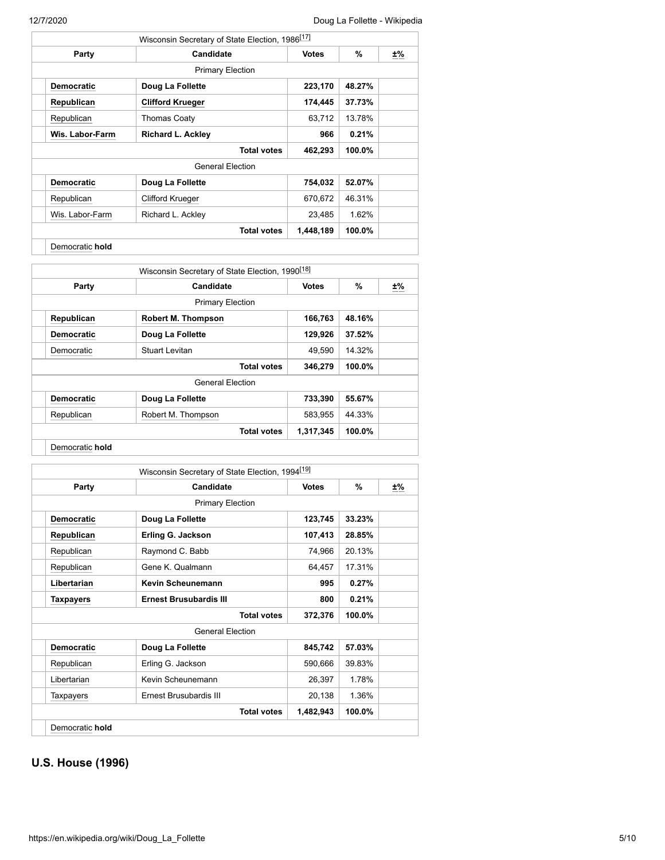|                   | Wisconsin Secretary of State Election, 1986 <sup>[17]</sup> |              |        |    |  |  |
|-------------------|-------------------------------------------------------------|--------------|--------|----|--|--|
| Party             | Candidate                                                   | <b>Votes</b> | %      | ±% |  |  |
|                   | <b>Primary Election</b>                                     |              |        |    |  |  |
| <b>Democratic</b> | Doug La Follette                                            | 223,170      | 48.27% |    |  |  |
| Republican        | <b>Clifford Krueger</b>                                     | 174,445      | 37.73% |    |  |  |
| Republican        | <b>Thomas Coaty</b>                                         | 63,712       | 13.78% |    |  |  |
| Wis. Labor-Farm   | <b>Richard L. Ackley</b>                                    | 966          | 0.21%  |    |  |  |
|                   | <b>Total votes</b>                                          |              |        |    |  |  |
|                   | <b>General Election</b>                                     |              |        |    |  |  |
| <b>Democratic</b> | Doug La Follette                                            | 754,032      | 52.07% |    |  |  |
| Republican        | <b>Clifford Krueger</b>                                     | 670,672      | 46.31% |    |  |  |
| Wis. Labor-Farm   | Richard L. Ackley                                           | 23,485       | 1.62%  |    |  |  |
|                   | <b>Total votes</b>                                          | 1,448,189    | 100.0% |    |  |  |
| Democratic hold   |                                                             |              |        |    |  |  |

| Wisconsin Secretary of State Election, 1990 <sup>[18]</sup> |        |        |
|-------------------------------------------------------------|--------|--------|
| <b>Votes</b>                                                | %      | ±%<br> |
|                                                             |        |        |
| 166,763                                                     | 48.16% |        |
| 129,926                                                     | 37.52% |        |
| 49,590                                                      | 14.32% |        |
| 346,279                                                     | 100.0% |        |
|                                                             |        |        |
| 733,390                                                     | 55.67% |        |
| 583,955                                                     | 44.33% |        |
| 1,317,345                                                   | 100.0% |        |
|                                                             |        |        |

| Candidate<br><b>Primary Election</b><br>Doug La Follette<br>Erling G. Jackson<br>Raymond C. Babb<br>Gene K. Qualmann<br>Kevin Scheunemann<br><b>Ernest Brusubardis III</b> | <b>Votes</b><br>123,745<br>107,413<br>74,966<br>64,457<br>995 | %<br>33.23%<br>28.85%<br>20.13%<br>17.31%<br>0.27% | ±% |
|----------------------------------------------------------------------------------------------------------------------------------------------------------------------------|---------------------------------------------------------------|----------------------------------------------------|----|
|                                                                                                                                                                            |                                                               |                                                    |    |
|                                                                                                                                                                            |                                                               |                                                    |    |
|                                                                                                                                                                            |                                                               |                                                    |    |
|                                                                                                                                                                            |                                                               |                                                    |    |
|                                                                                                                                                                            |                                                               |                                                    |    |
|                                                                                                                                                                            |                                                               |                                                    |    |
|                                                                                                                                                                            |                                                               |                                                    |    |
|                                                                                                                                                                            | 800                                                           | 0.21%                                              |    |
| <b>Total votes</b>                                                                                                                                                         | 372,376                                                       | 100.0%                                             |    |
| <b>General Election</b>                                                                                                                                                    |                                                               |                                                    |    |
| Doug La Follette                                                                                                                                                           | 845,742                                                       | 57.03%                                             |    |
| Erling G. Jackson                                                                                                                                                          | 590,666                                                       | 39.83%                                             |    |
| Kevin Scheunemann                                                                                                                                                          | 26,397                                                        | 1.78%                                              |    |
| Ernest Brusubardis III                                                                                                                                                     | 20,138                                                        | 1.36%                                              |    |
| <b>Total votes</b>                                                                                                                                                         | 1,482,943                                                     | 100.0%                                             |    |
|                                                                                                                                                                            |                                                               |                                                    |    |

### <span id="page-4-0"></span>**U.S. House (1996)**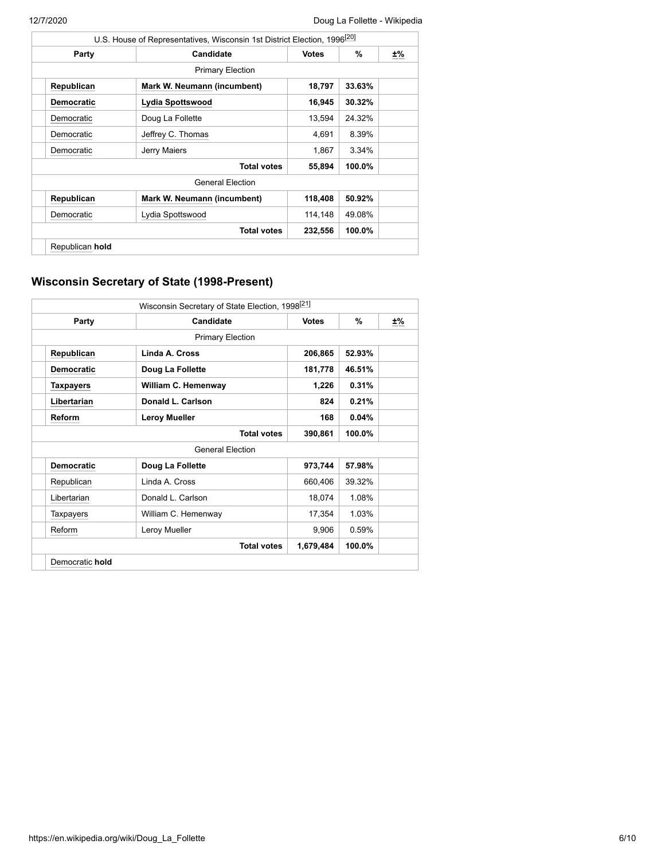|                   | U.S. House of Representatives, Wisconsin 1st District Election, 1996 <sup>[20]</sup> |              |        |    |  |  |
|-------------------|--------------------------------------------------------------------------------------|--------------|--------|----|--|--|
| Party             | Candidate                                                                            | <b>Votes</b> | %      | ±% |  |  |
|                   | <b>Primary Election</b>                                                              |              |        |    |  |  |
| Republican        | Mark W. Neumann (incumbent)                                                          | 18,797       | 33.63% |    |  |  |
| <b>Democratic</b> | Lydia Spottswood                                                                     | 16,945       | 30.32% |    |  |  |
| Democratic        | Doug La Follette                                                                     | 13,594       | 24.32% |    |  |  |
| Democratic        | Jeffrey C. Thomas                                                                    | 4,691        | 8.39%  |    |  |  |
| Democratic        | Jerry Maiers                                                                         | 1.867        | 3.34%  |    |  |  |
|                   | <b>Total votes</b>                                                                   |              |        |    |  |  |
|                   | <b>General Election</b>                                                              |              |        |    |  |  |
| Republican        | Mark W. Neumann (incumbent)                                                          | 118,408      | 50.92% |    |  |  |
| Democratic        | Lydia Spottswood                                                                     | 114,148      | 49.08% |    |  |  |
|                   | <b>Total votes</b>                                                                   | 232,556      | 100.0% |    |  |  |
| Republican hold   |                                                                                      |              |        |    |  |  |

### <span id="page-5-0"></span>**Wisconsin Secretary of State (1998-Present)**

| Wisconsin Secretary of State Election, 1998 <sup>[21]</sup> |                                           |              |        |    |  |
|-------------------------------------------------------------|-------------------------------------------|--------------|--------|----|--|
| Party                                                       | Candidate                                 | <b>Votes</b> | %      | ±% |  |
|                                                             | <b>Primary Election</b>                   |              |        |    |  |
| Republican                                                  | Linda A. Cross                            | 206,865      | 52.93% |    |  |
| <b>Democratic</b>                                           | Doug La Follette                          | 181,778      | 46.51% |    |  |
| <b>Taxpayers</b>                                            | William C. Hemenway                       | 1,226        | 0.31%  |    |  |
| Libertarian                                                 | Donald L. Carlson                         | 824          | 0.21%  |    |  |
| Reform                                                      | <b>Leroy Mueller</b>                      | 168          | 0.04%  |    |  |
|                                                             | <b>Total votes</b>                        |              |        |    |  |
|                                                             | <b>General Election</b>                   |              |        |    |  |
| <b>Democratic</b>                                           | Doug La Follette                          | 973,744      | 57.98% |    |  |
| Republican                                                  | Linda A. Cross                            | 660,406      | 39.32% |    |  |
| Libertarian                                                 | Donald L. Carlson                         | 18,074       | 1.08%  |    |  |
| Taxpayers                                                   | William C. Hemenway                       | 17,354       | 1.03%  |    |  |
| Reform                                                      | Leroy Mueller                             | 9,906        | 0.59%  |    |  |
|                                                             | <b>Total votes</b><br>1,679,484<br>100.0% |              |        |    |  |
| Democratic hold                                             |                                           |              |        |    |  |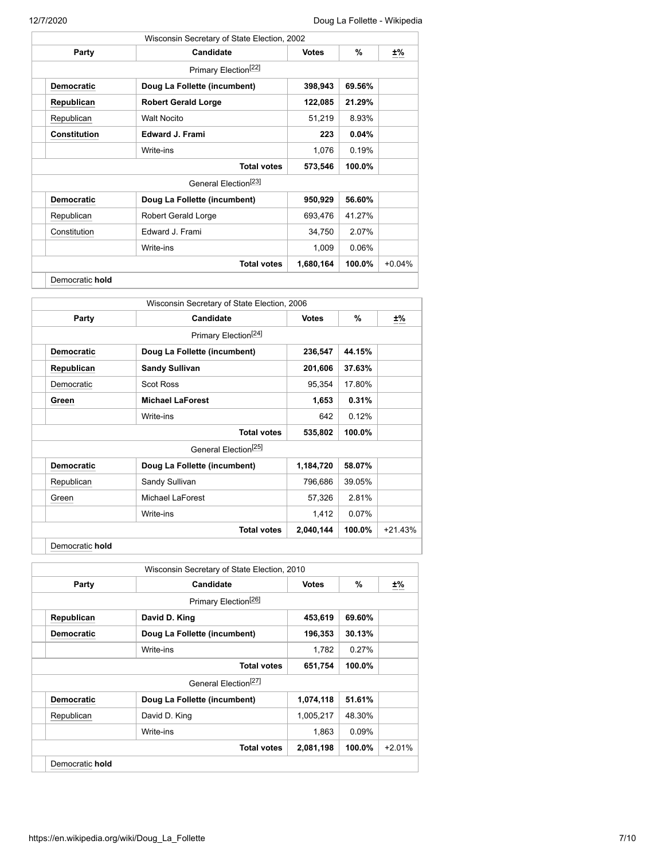|                     | Wisconsin Secretary of State Election, 2002 |              |          |          |
|---------------------|---------------------------------------------|--------------|----------|----------|
| Party               | Candidate                                   | <b>Votes</b> | %        | ±%       |
|                     | Primary Election <sup>[22]</sup>            |              |          |          |
| <b>Democratic</b>   | Doug La Follette (incumbent)                | 398,943      | 69.56%   |          |
| Republican          | <b>Robert Gerald Lorge</b>                  | 122,085      | 21.29%   |          |
| Republican          | <b>Walt Nocito</b>                          | 51,219       | 8.93%    |          |
| <b>Constitution</b> | <b>Edward J. Frami</b>                      | 223          | $0.04\%$ |          |
|                     | Write-ins                                   | 1,076        | 0.19%    |          |
|                     | <b>Total votes</b>                          | 573,546      | 100.0%   |          |
|                     | General Election <sup>[23]</sup>            |              |          |          |
| <b>Democratic</b>   | Doug La Follette (incumbent)                | 950,929      | 56.60%   |          |
| Republican          | Robert Gerald Lorge                         | 693,476      | 41.27%   |          |
| Constitution        | Edward J. Frami                             | 34,750       | 2.07%    |          |
|                     | Write-ins                                   | 1,009        | 0.06%    |          |
|                     | <b>Total votes</b>                          | 1,680,164    | 100.0%   | $+0.04%$ |
| Democratic hold     |                                             |              |          |          |

|                   | Wisconsin Secretary of State Election, 2006 |              |        |    |
|-------------------|---------------------------------------------|--------------|--------|----|
| Party             | Candidate                                   | <b>Votes</b> | %      | ±% |
|                   | Primary Election <sup>[24]</sup>            |              |        |    |
| <b>Democratic</b> | Doug La Follette (incumbent)                | 236,547      | 44.15% |    |
| Republican        | <b>Sandy Sullivan</b>                       | 201,606      | 37.63% |    |
| Democratic        | <b>Scot Ross</b>                            | 95,354       | 17.80% |    |
| Green             | <b>Michael LaForest</b>                     | 1,653        | 0.31%  |    |
|                   | Write-ins                                   | 642          | 0.12%  |    |
|                   | <b>Total votes</b>                          | 535,802      | 100.0% |    |
|                   | General Election <sup>[25]</sup>            |              |        |    |
| <b>Democratic</b> | Doug La Follette (incumbent)                | 1,184,720    | 58.07% |    |
| Republican        | Sandy Sullivan                              | 796,686      | 39.05% |    |
| Green             | Michael LaForest                            | 57,326       | 2.81%  |    |
|                   | Write-ins                                   | 1,412        | 0.07%  |    |
|                   |                                             |              |        |    |

|                                  | Wisconsin Secretary of State Election, 2010 |              |           |          |
|----------------------------------|---------------------------------------------|--------------|-----------|----------|
| Party                            | Candidate                                   | <b>Votes</b> | %         | ±%       |
|                                  | Primary Election <sup>[26]</sup>            |              |           |          |
| Republican                       | David D. King                               | 453,619      | 69.60%    |          |
| <b>Democratic</b>                | Doug La Follette (incumbent)                | 196,353      | 30.13%    |          |
|                                  | Write-ins                                   | 1.782        | 0.27%     |          |
|                                  | <b>Total votes</b>                          | 651,754      | $100.0\%$ |          |
| General Flection <sup>[27]</sup> |                                             |              |           |          |
| <b>Democratic</b>                | Doug La Follette (incumbent)                | 1,074,118    | 51.61%    |          |
| Republican                       | David D. King                               | 1,005,217    | 48.30%    |          |
|                                  | Write-ins                                   | 1,863        | 0.09%     |          |
|                                  | <b>Total votes</b>                          | 2,081,198    | $100.0\%$ | $+2.01%$ |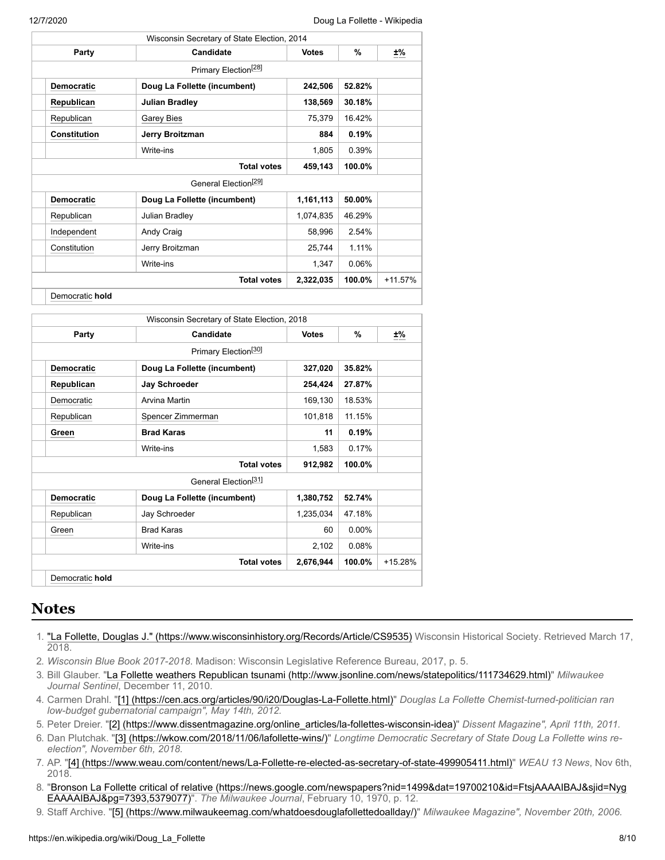| Wisconsin Secretary of State Election, 2014 |                    |                                  |              |        |           |
|---------------------------------------------|--------------------|----------------------------------|--------------|--------|-----------|
| Party                                       |                    | Candidate                        | <b>Votes</b> | %      | $\pm\%$   |
|                                             |                    | Primary Election <sup>[28]</sup> |              |        |           |
|                                             | <b>Democratic</b>  | Doug La Follette (incumbent)     | 242,506      | 52.82% |           |
|                                             | Republican         | <b>Julian Bradley</b>            | 138,569      | 30.18% |           |
|                                             | Republican         | <b>Garey Bies</b>                | 75,379       | 16.42% |           |
|                                             | Constitution       | Jerry Broitzman                  | 884          | 0.19%  |           |
|                                             |                    | Write-ins                        | 1,805        | 0.39%  |           |
|                                             | <b>Total votes</b> |                                  |              | 100.0% |           |
| General Election <sup>[29]</sup>            |                    |                                  |              |        |           |
|                                             | <b>Democratic</b>  | Doug La Follette (incumbent)     | 1,161,113    | 50.00% |           |
|                                             | Republican         | Julian Bradley                   | 1,074,835    | 46.29% |           |
|                                             | Independent        | Andy Craig                       | 58,996       | 2.54%  |           |
|                                             | Constitution       | Jerry Broitzman                  | 25,744       | 1.11%  |           |
|                                             |                    | Write-ins                        | 1,347        | 0.06%  |           |
|                                             |                    | <b>Total votes</b>               | 2,322,035    | 100.0% | $+11.57%$ |
|                                             | Democratic hold    |                                  |              |        |           |

| Party             | Candidate                        | <b>Votes</b> | $\%$     | ±%        |
|-------------------|----------------------------------|--------------|----------|-----------|
|                   | Primary Election <sup>[30]</sup> |              |          |           |
| <b>Democratic</b> | Doug La Follette (incumbent)     | 327,020      | 35.82%   |           |
| Republican        | Jay Schroeder                    | 254,424      | 27.87%   |           |
| Democratic        | Arvina Martin                    | 169,130      | 18.53%   |           |
| Republican        | Spencer Zimmerman                | 101,818      | 11.15%   |           |
| Green             | <b>Brad Karas</b>                | 11           | 0.19%    |           |
|                   | Write-ins                        | 1,583        | 0.17%    |           |
|                   | <b>Total votes</b>               | 912,982      | 100.0%   |           |
|                   | General Election <sup>[31]</sup> |              |          |           |
| <b>Democratic</b> | Doug La Follette (incumbent)     | 1,380,752    | 52.74%   |           |
| Republican        | Jay Schroeder                    | 1,235,034    | 47.18%   |           |
| Green             | <b>Brad Karas</b>                | 60           | $0.00\%$ |           |
|                   | Write-ins                        | 2,102        | 0.08%    |           |
|                   | <b>Total votes</b>               | 2,676,944    | 100.0%   | $+15.28%$ |

# <span id="page-7-1"></span>**Notes**

- <span id="page-7-0"></span>1. ["La Follette, Douglas J." \(https://www.wisconsinhistory.org/Records/Article/CS9535\)](https://www.wisconsinhistory.org/Records/Article/CS9535) Wisconsin Historical Society. Retrieved March 17, 2018.
- <span id="page-7-2"></span>2. *Wisconsin Blue Book 2017-2018*. Madison: Wisconsin Legislative Reference Bureau, 2017, p. 5.
- <span id="page-7-3"></span>3. Bill Glauber. "[La Follette weathers Republican tsunami \(http://www.jsonline.com/news/statepolitics/111734629.html\)"](http://www.jsonline.com/news/statepolitics/111734629.html) *Milwaukee Journal Sentinel*, December 11, 2010.
- <span id="page-7-4"></span>4. Carmen Drahl. "[\[1\] \(https://cen.acs.org/articles/90/i20/Douglas-La-Follette.html\)"](https://cen.acs.org/articles/90/i20/Douglas-La-Follette.html) *Douglas La Follette Chemist-turned-politician ran low-budget gubernatorial campaign", May 14th, 2012.*
- <span id="page-7-5"></span>5. Peter Dreier. "[\[2\] \(https://www.dissentmagazine.org/online\\_articles/la-follettes-wisconsin-idea\)"](https://www.dissentmagazine.org/online_articles/la-follettes-wisconsin-idea) *Dissent Magazine", April 11th, 2011.*
- <span id="page-7-6"></span>6. Dan Plutchak. ["\[3\] \(https://wkow.com/2018/11/06/lafollette-wins/\)](https://wkow.com/2018/11/06/lafollette-wins/)" *Longtime Democratic Secretary of State Doug La Follette wins reelection", November 6th, 2018.*
- <span id="page-7-7"></span>7. AP. "[\[4\] \(https://www.weau.com/content/news/La-Follette-re-elected-as-secretary-of-state-499905411.html\)"](https://www.weau.com/content/news/La-Follette-re-elected-as-secretary-of-state-499905411.html) *WEAU 13 News*, Nov 6th, 2018.
- <span id="page-7-8"></span>8. ["Bronson La Follette critical of relative \(https://news.google.com/newspapers?nid=1499&dat=19700210&id=FtsjAAAAIBAJ&sjid=Nyg](https://news.google.com/newspapers?nid=1499&dat=19700210&id=FtsjAAAAIBAJ&sjid=NygEAAAAIBAJ&pg=7393,5379077) EAAAAIBAJ&pg=7393,5379077)". *The Milwaukee Journal*, February 10, 1970, p. 12.
- <span id="page-7-9"></span>9. Staff Archive. "[\[5\] \(https://www.milwaukeemag.com/whatdoesdouglafollettedoallday/\)](https://www.milwaukeemag.com/whatdoesdouglafollettedoallday/)" *Milwaukee Magazine", November 20th, 2006.*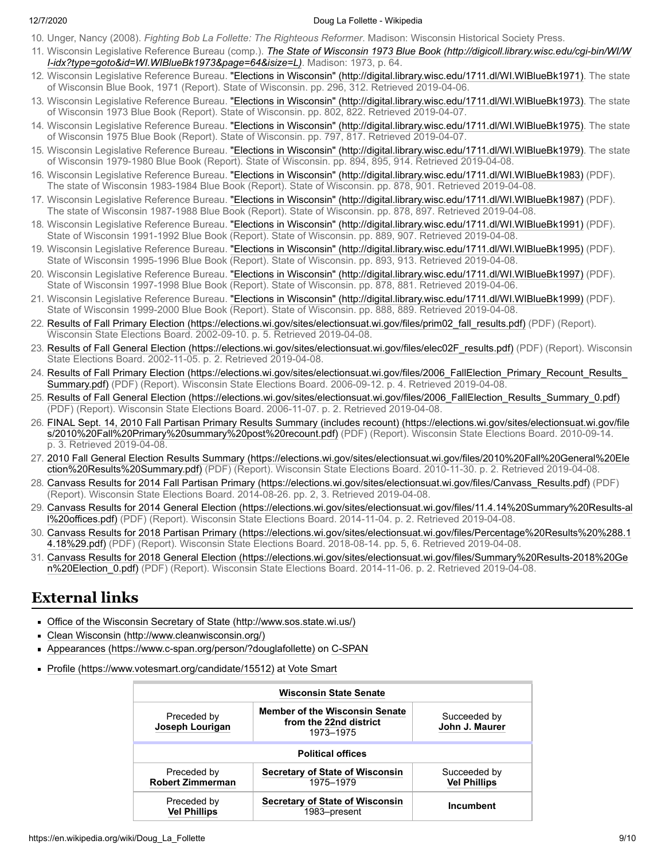- <span id="page-8-1"></span>10. Unger, Nancy (2008). *Fighting Bob La Follette: The Righteous Reformer*. Madison: Wisconsin Historical Society Press.
- <span id="page-8-2"></span>11. Wisconsin Legislative Reference Bureau (comp.). *[The State of Wisconsin 1973 Blue Book \(http://digicoll.library.wisc.edu/cgi-bin/WI/W](http://digicoll.library.wisc.edu/cgi-bin/WI/WI-idx?type=goto&id=WI.WIBlueBk1973&page=64&isize=L) I-idx?type=goto&id=WI.WIBlueBk1973&page=64&isize=L)*. Madison: 1973, p. 64.
- <span id="page-8-3"></span>12. Wisconsin Legislative Reference Bureau. ["Elections in Wisconsin" \(http://digital.library.wisc.edu/1711.dl/WI.WIBlueBk1971\)](http://digital.library.wisc.edu/1711.dl/WI.WIBlueBk1971). The state of Wisconsin Blue Book, 1971 (Report). State of Wisconsin. pp. 296, 312. Retrieved 2019-04-06.
- <span id="page-8-4"></span>13. Wisconsin Legislative Reference Bureau. ["Elections in Wisconsin" \(http://digital.library.wisc.edu/1711.dl/WI.WIBlueBk1973\)](http://digital.library.wisc.edu/1711.dl/WI.WIBlueBk1973). The state of Wisconsin 1973 Blue Book (Report). State of Wisconsin. pp. 802, 822. Retrieved 2019-04-07.
- <span id="page-8-5"></span>14. Wisconsin Legislative Reference Bureau. ["Elections in Wisconsin" \(http://digital.library.wisc.edu/1711.dl/WI.WIBlueBk1975\)](http://digital.library.wisc.edu/1711.dl/WI.WIBlueBk1975). The state of Wisconsin 1975 Blue Book (Report). State of Wisconsin. pp. 797, 817. Retrieved 2019-04-07.
- <span id="page-8-6"></span>15. Wisconsin Legislative Reference Bureau. ["Elections in Wisconsin" \(http://digital.library.wisc.edu/1711.dl/WI.WIBlueBk1979\)](http://digital.library.wisc.edu/1711.dl/WI.WIBlueBk1979). The state of Wisconsin 1979-1980 Blue Book (Report). State of Wisconsin. pp. 894, 895, 914. Retrieved 2019-04-08.
- <span id="page-8-7"></span>16. Wisconsin Legislative Reference Bureau. ["Elections in Wisconsin" \(http://digital.library.wisc.edu/1711.dl/WI.WIBlueBk1983\)](http://digital.library.wisc.edu/1711.dl/WI.WIBlueBk1983) (PDF). The state of Wisconsin 1983-1984 Blue Book (Report). State of Wisconsin. pp. 878, 901. Retrieved 2019-04-08.
- <span id="page-8-8"></span>17. Wisconsin Legislative Reference Bureau. ["Elections in Wisconsin" \(http://digital.library.wisc.edu/1711.dl/WI.WIBlueBk1987\)](http://digital.library.wisc.edu/1711.dl/WI.WIBlueBk1987) (PDF). The state of Wisconsin 1987-1988 Blue Book (Report). State of Wisconsin. pp. 878, 897. Retrieved 2019-04-08.
- <span id="page-8-9"></span>18. Wisconsin Legislative Reference Bureau. ["Elections in Wisconsin" \(http://digital.library.wisc.edu/1711.dl/WI.WIBlueBk1991\)](http://digital.library.wisc.edu/1711.dl/WI.WIBlueBk1991) (PDF). State of Wisconsin 1991-1992 Blue Book (Report). State of Wisconsin. pp. 889, 907. Retrieved 2019-04-08.
- <span id="page-8-10"></span>19. Wisconsin Legislative Reference Bureau. ["Elections in Wisconsin" \(http://digital.library.wisc.edu/1711.dl/WI.WIBlueBk1995\)](http://digital.library.wisc.edu/1711.dl/WI.WIBlueBk1995) (PDF). State of Wisconsin 1995-1996 Blue Book (Report). State of Wisconsin. pp. 893, 913. Retrieved 2019-04-08.
- <span id="page-8-11"></span>20. Wisconsin Legislative Reference Bureau. ["Elections in Wisconsin" \(http://digital.library.wisc.edu/1711.dl/WI.WIBlueBk1997\)](http://digital.library.wisc.edu/1711.dl/WI.WIBlueBk1997) (PDF). State of Wisconsin 1997-1998 Blue Book (Report). State of Wisconsin. pp. 878, 881. Retrieved 2019-04-06.
- <span id="page-8-12"></span>21. Wisconsin Legislative Reference Bureau. ["Elections in Wisconsin" \(http://digital.library.wisc.edu/1711.dl/WI.WIBlueBk1999\)](http://digital.library.wisc.edu/1711.dl/WI.WIBlueBk1999) (PDF). State of Wisconsin 1999-2000 Blue Book (Report). State of Wisconsin. pp. 888, 889. Retrieved 2019-04-08.
- <span id="page-8-13"></span>22. [Results of Fall Primary Election \(https://elections.wi.gov/sites/electionsuat.wi.gov/files/prim02\\_fall\\_results.pdf\)](https://elections.wi.gov/sites/electionsuat.wi.gov/files/prim02_fall_results.pdf) (PDF) (Report). Wisconsin State Elections Board. 2002-09-10. p. 5. Retrieved 2019-04-08.
- <span id="page-8-14"></span>23. [Results of Fall General Election \(https://elections.wi.gov/sites/electionsuat.wi.gov/files/elec02F\\_results.pdf\)](https://elections.wi.gov/sites/electionsuat.wi.gov/files/elec02F_results.pdf) (PDF) (Report). Wisconsin State Elections Board. 2002-11-05. p. 2. Retrieved 2019-04-08.
- <span id="page-8-15"></span>24. [Results of Fall Primary Election \(https://elections.wi.gov/sites/electionsuat.wi.gov/files/2006\\_FallElection\\_Primary\\_Recount\\_Results\\_](https://elections.wi.gov/sites/electionsuat.wi.gov/files/2006_FallElection_Primary_Recount_Results_Summary.pdf) Summary.pdf) (PDF) (Report). Wisconsin State Elections Board. 2006-09-12. p. 4. Retrieved 2019-04-08.
- <span id="page-8-16"></span>25. [Results of Fall General Election \(https://elections.wi.gov/sites/electionsuat.wi.gov/files/2006\\_FallElection\\_Results\\_Summary\\_0.pdf\)](https://elections.wi.gov/sites/electionsuat.wi.gov/files/2006_FallElection_Results_Summary_0.pdf) (PDF) (Report). Wisconsin State Elections Board. 2006-11-07. p. 2. Retrieved 2019-04-08.
- <span id="page-8-17"></span>26. [FINAL Sept. 14, 2010 Fall Partisan Primary Results Summary \(includes recount\) \(https://elections.wi.gov/sites/electionsuat.wi.gov/file](https://elections.wi.gov/sites/electionsuat.wi.gov/files/2010%20Fall%20Primary%20summary%20post%20recount.pdf) s/2010%20Fall%20Primary%20summary%20post%20recount.pdf) (PDF) (Report). Wisconsin State Elections Board. 2010-09-14. p. 3. Retrieved 2019-04-08.
- <span id="page-8-18"></span>27. [2010 Fall General Election Results Summary \(https://elections.wi.gov/sites/electionsuat.wi.gov/files/2010%20Fall%20General%20Ele](https://elections.wi.gov/sites/electionsuat.wi.gov/files/2010%20Fall%20General%20Election%20Results%20Summary.pdf) ction%20Results%20Summary.pdf) (PDF) (Report). Wisconsin State Elections Board. 2010-11-30. p. 2. Retrieved 2019-04-08.
- <span id="page-8-19"></span>28. [Canvass Results for 2014 Fall Partisan Primary \(https://elections.wi.gov/sites/electionsuat.wi.gov/files/Canvass\\_Results.pdf\)](https://elections.wi.gov/sites/electionsuat.wi.gov/files/Canvass_Results.pdf) (PDF) (Report). Wisconsin State Elections Board. 2014-08-26. pp. 2, 3. Retrieved 2019-04-08.
- <span id="page-8-20"></span>29. [Canvass Results for 2014 General Election \(https://elections.wi.gov/sites/electionsuat.wi.gov/files/11.4.14%20Summary%20Results-al](https://elections.wi.gov/sites/electionsuat.wi.gov/files/11.4.14%20Summary%20Results-all%20offices.pdf) l%20offices.pdf) (PDF) (Report). Wisconsin State Elections Board. 2014-11-04. p. 2. Retrieved 2019-04-08.
- <span id="page-8-21"></span>30. [Canvass Results for 2018 Partisan Primary \(https://elections.wi.gov/sites/electionsuat.wi.gov/files/Percentage%20Results%20%288.1](https://elections.wi.gov/sites/electionsuat.wi.gov/files/Percentage%20Results%20%288.14.18%29.pdf) 4.18%29.pdf) (PDF) (Report). Wisconsin State Elections Board. 2018-08-14. pp. 5, 6. Retrieved 2019-04-08.
- <span id="page-8-22"></span>31. [Canvass Results for 2018 General Election \(https://elections.wi.gov/sites/electionsuat.wi.gov/files/Summary%20Results-2018%20Ge](https://elections.wi.gov/sites/electionsuat.wi.gov/files/Summary%20Results-2018%20Gen%20Election_0.pdf) n%20Election\_0.pdf) (PDF) (Report). Wisconsin State Elections Board. 2014-11-06. p. 2. Retrieved 2019-04-08.

# <span id="page-8-0"></span>**External links**

- [Office of the Wisconsin Secretary of State \(http://www.sos.state.wi.us/\)](http://www.sos.state.wi.us/)
- [Clean Wisconsin \(http://www.cleanwisconsin.org/\)](http://www.cleanwisconsin.org/)
- [Appearances \(https://www.c-span.org/person/?douglafollette\)](https://www.c-span.org/person/?douglafollette) on [C-SPAN](https://en.wikipedia.org/wiki/C-SPAN)
- [Profile \(https://www.votesmart.org/candidate/15512\)](https://www.votesmart.org/candidate/15512) at [Vote Smart](https://en.wikipedia.org/wiki/Vote_Smart)

| <b>Wisconsin State Senate</b>          |                                                                              |                                     |  |  |  |
|----------------------------------------|------------------------------------------------------------------------------|-------------------------------------|--|--|--|
| Preceded by<br>Joseph Lourigan         | <b>Member of the Wisconsin Senate</b><br>from the 22nd district<br>1973-1975 | Succeeded by<br>John J. Maurer      |  |  |  |
| <b>Political offices</b>               |                                                                              |                                     |  |  |  |
| Preceded by<br><b>Robert Zimmerman</b> | <b>Secretary of State of Wisconsin</b><br>1975-1979                          | Succeeded by<br><b>Vel Phillips</b> |  |  |  |
| Preceded by<br><b>Vel Phillips</b>     | Secretary of State of Wisconsin<br>1983–present                              | Incumbent                           |  |  |  |